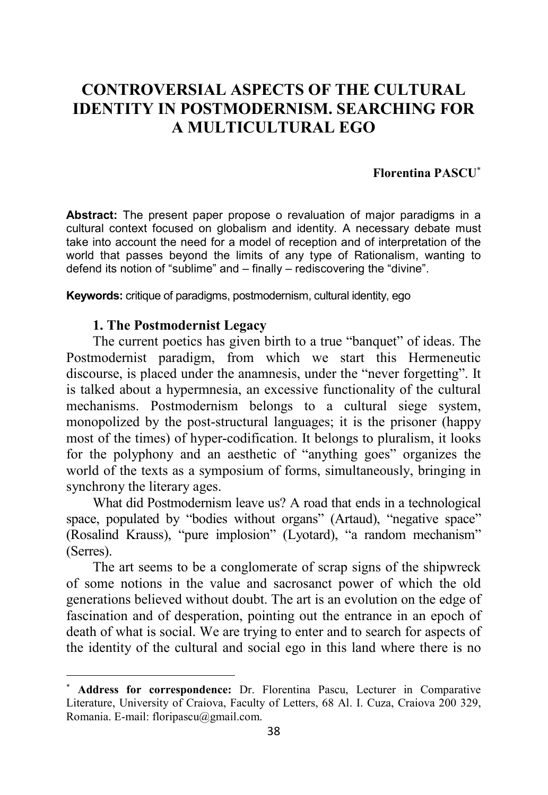# **CONTROVERSIAL ASPECTS OF THE CULTURAL IDENTITY IN POSTMODERNISM. SEARCHING FOR A MULTICULTURAL EGO**

#### **Florentina PASCU**<sup>∗</sup>

**Abstract:** The present paper propose o revaluation of major paradigms in a cultural context focused on globalism and identity. A necessary debate must take into account the need for a model of reception and of interpretation of the world that passes beyond the limits of any type of Rationalism, wanting to defend its notion of "sublime" and – finally – rediscovering the "divine".

**Keywords:** critique of paradigms, postmodernism, cultural identity, ego

#### **1. The Postmodernist Legacy**

 $\overline{a}$ 

The current poetics has given birth to a true "banquet" of ideas. The Postmodernist paradigm, from which we start this Hermeneutic discourse, is placed under the anamnesis, under the "never forgetting". It is talked about a hypermnesia, an excessive functionality of the cultural mechanisms. Postmodernism belongs to a cultural siege system, monopolized by the post-structural languages; it is the prisoner (happy most of the times) of hyper-codification. It belongs to pluralism, it looks for the polyphony and an aesthetic of "anything goes" organizes the world of the texts as a symposium of forms, simultaneously, bringing in synchrony the literary ages.

What did Postmodernism leave us? A road that ends in a technological space, populated by "bodies without organs" (Artaud), "negative space" (Rosalind Krauss), "pure implosion" (Lyotard), "a random mechanism" (Serres).

The art seems to be a conglomerate of scrap signs of the shipwreck of some notions in the value and sacrosanct power of which the old generations believed without doubt. The art is an evolution on the edge of fascination and of desperation, pointing out the entrance in an epoch of death of what is social. We are trying to enter and to search for aspects of the identity of the cultural and social ego in this land where there is no

<sup>∗</sup> **Address for correspondence:** Dr. Florentina Pascu, Lecturer in Comparative Literature, University of Craiova, Faculty of Letters, 68 Al. I. Cuza, Craiova 200 329, Romania. E-mail: floripascu@gmail.com.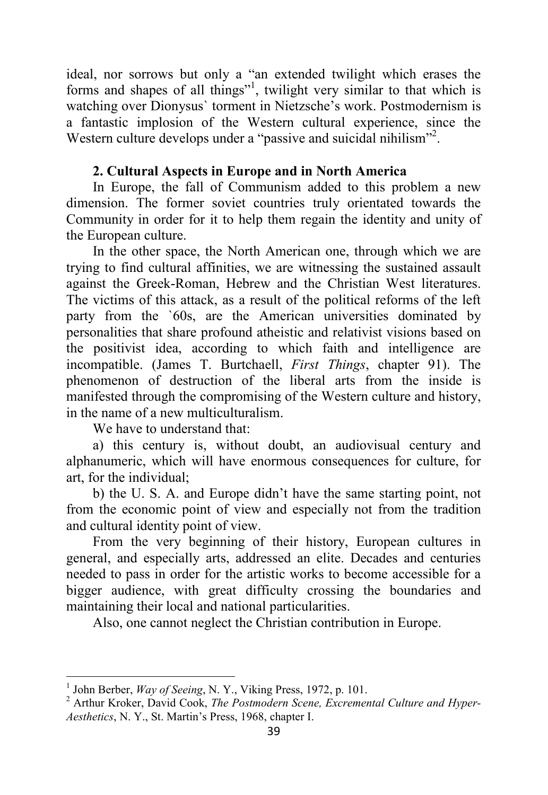ideal, nor sorrows but only a "an extended twilight which erases the forms and shapes of all things"<sup>1</sup>, twilight very similar to that which is watching over Dionysus` torment in Nietzsche's work. Postmodernism is a fantastic implosion of the Western cultural experience, since the Western culture develops under a "passive and suicidal nihilism"<sup>2</sup>.

# **2. Cultural Aspects in Europe and in North America**

In Europe, the fall of Communism added to this problem a new dimension. The former soviet countries truly orientated towards the Community in order for it to help them regain the identity and unity of the European culture.

In the other space, the North American one, through which we are trying to find cultural affinities, we are witnessing the sustained assault against the Greek-Roman, Hebrew and the Christian West literatures. The victims of this attack, as a result of the political reforms of the left party from the `60s, are the American universities dominated by personalities that share profound atheistic and relativist visions based on the positivist idea, according to which faith and intelligence are incompatible. (James T. Burtchaell, *First Things*, chapter 91). The phenomenon of destruction of the liberal arts from the inside is manifested through the compromising of the Western culture and history, in the name of a new multiculturalism.

We have to understand that:

a) this century is, without doubt, an audiovisual century and alphanumeric, which will have enormous consequences for culture, for art, for the individual;

b) the U. S. A. and Europe didn't have the same starting point, not from the economic point of view and especially not from the tradition and cultural identity point of view.

From the very beginning of their history, European cultures in general, and especially arts, addressed an elite. Decades and centuries needed to pass in order for the artistic works to become accessible for a bigger audience, with great difficulty crossing the boundaries and maintaining their local and national particularities.

Also, one cannot neglect the Christian contribution in Europe.

l

<sup>&</sup>lt;sup>1</sup> John Berber, *Way of Seeing*, N. Y., Viking Press, 1972, p. 101.

<sup>2</sup> Arthur Kroker, David Cook, *The Postmodern Scene, Excremental Culture and Hyper-Aesthetics*, N. Y., St. Martin's Press, 1968, chapter I.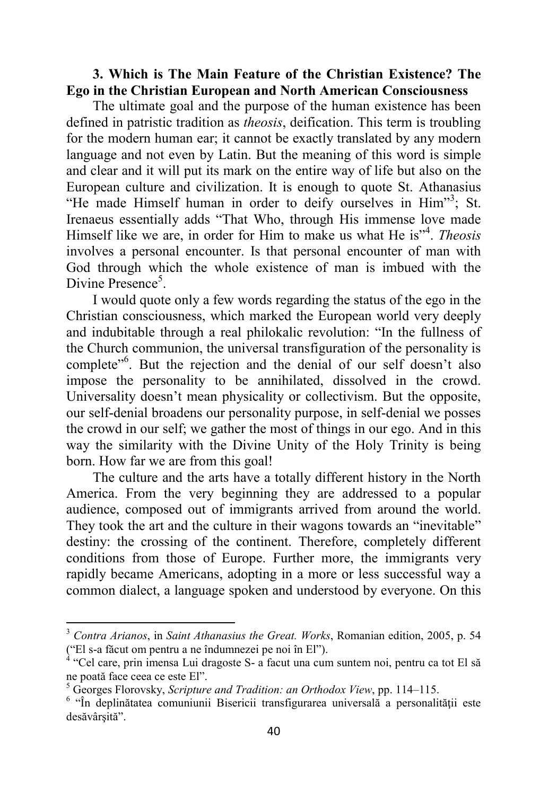#### **3. Which is The Main Feature of the Christian Existence? The Ego in the Christian European and North American Consciousness**

The ultimate goal and the purpose of the human existence has been defined in patristic tradition as *theosis*, deification. This term is troubling for the modern human ear; it cannot be exactly translated by any modern language and not even by Latin. But the meaning of this word is simple and clear and it will put its mark on the entire way of life but also on the European culture and civilization. It is enough to quote St. Athanasius "He made Himself human in order to deify ourselves in Him"<sup>3</sup>; St. Irenaeus essentially adds "That Who, through His immense love made Himself like we are, in order for Him to make us what He is"<sup>4</sup> . *Theosis* involves a personal encounter. Is that personal encounter of man with God through which the whole existence of man is imbued with the Divine Presence<sup>5</sup>.

I would quote only a few words regarding the status of the ego in the Christian consciousness, which marked the European world very deeply and indubitable through a real philokalic revolution: "In the fullness of the Church communion, the universal transfiguration of the personality is complete"<sup>6</sup>. But the rejection and the denial of our self doesn't also impose the personality to be annihilated, dissolved in the crowd. Universality doesn't mean physicality or collectivism. But the opposite, our self-denial broadens our personality purpose, in self-denial we posses the crowd in our self; we gather the most of things in our ego. And in this way the similarity with the Divine Unity of the Holy Trinity is being born. How far we are from this goal!

The culture and the arts have a totally different history in the North America. From the very beginning they are addressed to a popular audience, composed out of immigrants arrived from around the world. They took the art and the culture in their wagons towards an "inevitable" destiny: the crossing of the continent. Therefore, completely different conditions from those of Europe. Further more, the immigrants very rapidly became Americans, adopting in a more or less successful way a common dialect, a language spoken and understood by everyone. On this

l

<sup>3</sup> *Contra Arianos*, in *Saint Athanasius the Great. Works*, Romanian edition, 2005, p. 54 ("El s-a făcut om pentru a ne îndumnezei pe noi în El"). 4 "Cel care, prin imensa Lui dragoste S- a facut una cum suntem noi, pentru ca tot El să

ne poată face ceea ce este El".

<sup>5</sup> Georges Florovsky, *Scripture and Tradition: an Orthodox View*, pp. 114–115.

<sup>&</sup>lt;sup>6</sup> "În deplinătatea comuniunii Bisericii transfigurarea universală a personalității este desăvârşită".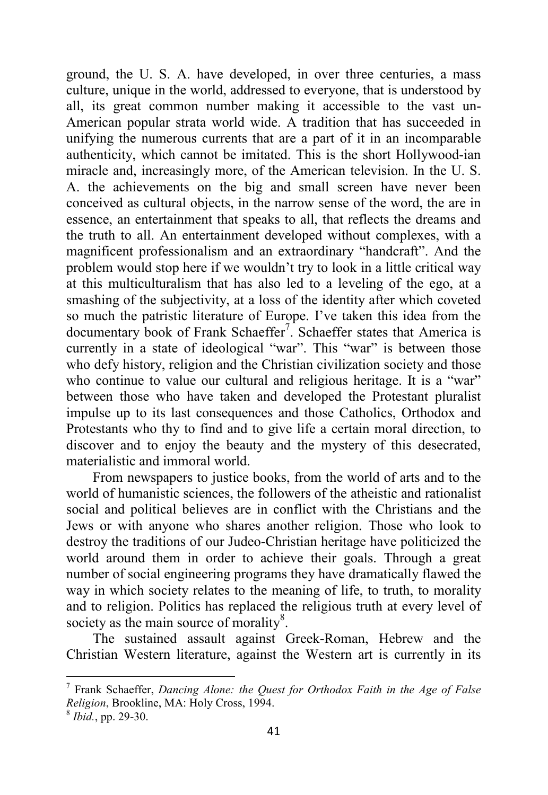ground, the U. S. A. have developed, in over three centuries, a mass culture, unique in the world, addressed to everyone, that is understood by all, its great common number making it accessible to the vast un-American popular strata world wide. A tradition that has succeeded in unifying the numerous currents that are a part of it in an incomparable authenticity, which cannot be imitated. This is the short Hollywood-ian miracle and, increasingly more, of the American television. In the U. S. A. the achievements on the big and small screen have never been conceived as cultural objects, in the narrow sense of the word, the are in essence, an entertainment that speaks to all, that reflects the dreams and the truth to all. An entertainment developed without complexes, with a magnificent professionalism and an extraordinary "handcraft". And the problem would stop here if we wouldn't try to look in a little critical way at this multiculturalism that has also led to a leveling of the ego, at a smashing of the subjectivity, at a loss of the identity after which coveted so much the patristic literature of Europe. I've taken this idea from the documentary book of Frank Schaeffer<sup>7</sup>. Schaeffer states that America is currently in a state of ideological "war". This "war" is between those who defy history, religion and the Christian civilization society and those who continue to value our cultural and religious heritage. It is a "war" between those who have taken and developed the Protestant pluralist impulse up to its last consequences and those Catholics, Orthodox and Protestants who thy to find and to give life a certain moral direction, to discover and to enjoy the beauty and the mystery of this desecrated, materialistic and immoral world.

From newspapers to justice books, from the world of arts and to the world of humanistic sciences, the followers of the atheistic and rationalist social and political believes are in conflict with the Christians and the Jews or with anyone who shares another religion. Those who look to destroy the traditions of our Judeo-Christian heritage have politicized the world around them in order to achieve their goals. Through a great number of social engineering programs they have dramatically flawed the way in which society relates to the meaning of life, to truth, to morality and to religion. Politics has replaced the religious truth at every level of society as the main source of morality $8$ .

The sustained assault against Greek-Roman, Hebrew and the Christian Western literature, against the Western art is currently in its

 7 Frank Schaeffer, *Dancing Alone: the Quest for Orthodox Faith in the Age of False Religion*, Brookline, MA: Holy Cross, 1994.

<sup>8</sup> *Ibid.*, pp. 29-30.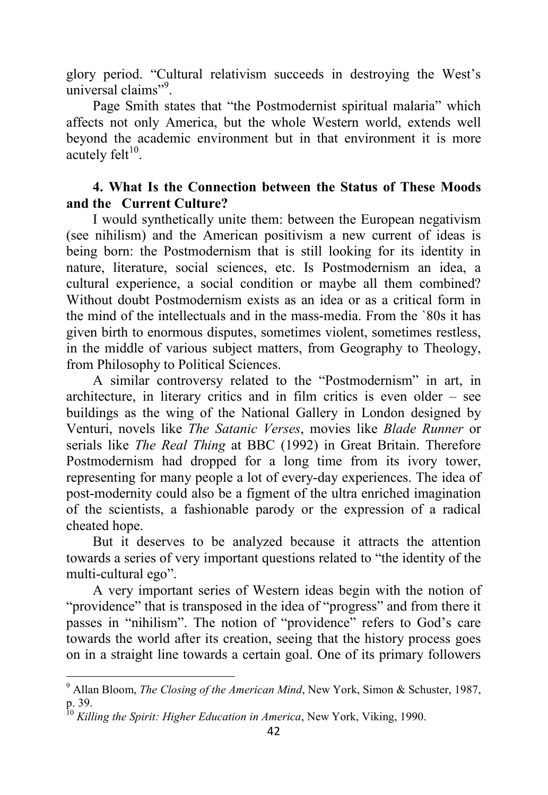glory period. "Cultural relativism succeeds in destroying the West's universal claims"<sup>9</sup>.

Page Smith states that "the Postmodernist spiritual malaria" which affects not only America, but the whole Western world, extends well beyond the academic environment but in that environment it is more acutely felt $^{10}$ .

## **4. What Is the Connection between the Status of These Moods and the Current Culture?**

I would synthetically unite them: between the European negativism (see nihilism) and the American positivism a new current of ideas is being born: the Postmodernism that is still looking for its identity in nature, literature, social sciences, etc. Is Postmodernism an idea, a cultural experience, a social condition or maybe all them combined? Without doubt Postmodernism exists as an idea or as a critical form in the mind of the intellectuals and in the mass-media. From the `80s it has given birth to enormous disputes, sometimes violent, sometimes restless, in the middle of various subject matters, from Geography to Theology, from Philosophy to Political Sciences.

A similar controversy related to the "Postmodernism" in art, in architecture, in literary critics and in film critics is even older – see buildings as the wing of the National Gallery in London designed by Venturi, novels like *The Satanic Verses*, movies like *Blade Runner* or serials like *The Real Thing* at BBC (1992) in Great Britain. Therefore Postmodernism had dropped for a long time from its ivory tower, representing for many people a lot of every-day experiences. The idea of post-modernity could also be a figment of the ultra enriched imagination of the scientists, a fashionable parody or the expression of a radical cheated hope.

But it deserves to be analyzed because it attracts the attention towards a series of very important questions related to "the identity of the multi-cultural ego".

A very important series of Western ideas begin with the notion of "providence" that is transposed in the idea of "progress" and from there it passes in "nihilism". The notion of "providence" refers to God's care towards the world after its creation, seeing that the history process goes on in a straight line towards a certain goal. One of its primary followers

<sup>&</sup>lt;sup>9</sup> Allan Bloom, *The Closing of the American Mind*, New York, Simon & Schuster, 1987, p. 39.

<sup>10</sup> *Killing the Spirit: Higher Education in America*, New York, Viking, 1990.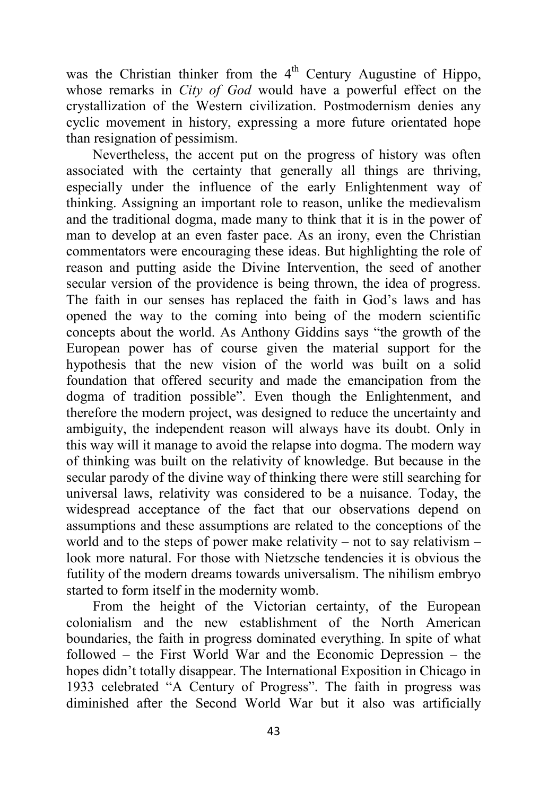was the Christian thinker from the 4<sup>th</sup> Century Augustine of Hippo, whose remarks in *City of God* would have a powerful effect on the crystallization of the Western civilization. Postmodernism denies any cyclic movement in history, expressing a more future orientated hope than resignation of pessimism.

Nevertheless, the accent put on the progress of history was often associated with the certainty that generally all things are thriving, especially under the influence of the early Enlightenment way of thinking. Assigning an important role to reason, unlike the medievalism and the traditional dogma, made many to think that it is in the power of man to develop at an even faster pace. As an irony, even the Christian commentators were encouraging these ideas. But highlighting the role of reason and putting aside the Divine Intervention, the seed of another secular version of the providence is being thrown, the idea of progress. The faith in our senses has replaced the faith in God's laws and has opened the way to the coming into being of the modern scientific concepts about the world. As Anthony Giddins says "the growth of the European power has of course given the material support for the hypothesis that the new vision of the world was built on a solid foundation that offered security and made the emancipation from the dogma of tradition possible". Even though the Enlightenment, and therefore the modern project, was designed to reduce the uncertainty and ambiguity, the independent reason will always have its doubt. Only in this way will it manage to avoid the relapse into dogma. The modern way of thinking was built on the relativity of knowledge. But because in the secular parody of the divine way of thinking there were still searching for universal laws, relativity was considered to be a nuisance. Today, the widespread acceptance of the fact that our observations depend on assumptions and these assumptions are related to the conceptions of the world and to the steps of power make relativity – not to say relativism – look more natural. For those with Nietzsche tendencies it is obvious the futility of the modern dreams towards universalism. The nihilism embryo started to form itself in the modernity womb.

From the height of the Victorian certainty, of the European colonialism and the new establishment of the North American boundaries, the faith in progress dominated everything. In spite of what followed – the First World War and the Economic Depression – the hopes didn't totally disappear. The International Exposition in Chicago in 1933 celebrated "A Century of Progress". The faith in progress was diminished after the Second World War but it also was artificially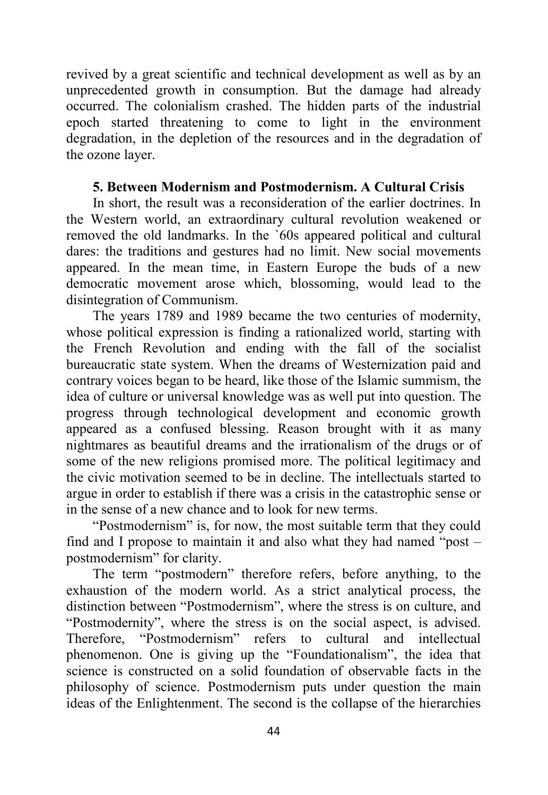revived by a great scientific and technical development as well as by an unprecedented growth in consumption. But the damage had already occurred. The colonialism crashed. The hidden parts of the industrial epoch started threatening to come to light in the environment degradation, in the depletion of the resources and in the degradation of the ozone layer.

### **5. Between Modernism and Postmodernism. A Cultural Crisis**

In short, the result was a reconsideration of the earlier doctrines. In the Western world, an extraordinary cultural revolution weakened or removed the old landmarks. In the `60s appeared political and cultural dares: the traditions and gestures had no limit. New social movements appeared. In the mean time, in Eastern Europe the buds of a new democratic movement arose which, blossoming, would lead to the disintegration of Communism.

The years 1789 and 1989 became the two centuries of modernity, whose political expression is finding a rationalized world, starting with the French Revolution and ending with the fall of the socialist bureaucratic state system. When the dreams of Westernization paid and contrary voices began to be heard, like those of the Islamic summism, the idea of culture or universal knowledge was as well put into question. The progress through technological development and economic growth appeared as a confused blessing. Reason brought with it as many nightmares as beautiful dreams and the irrationalism of the drugs or of some of the new religions promised more. The political legitimacy and the civic motivation seemed to be in decline. The intellectuals started to argue in order to establish if there was a crisis in the catastrophic sense or in the sense of a new chance and to look for new terms.

"Postmodernism" is, for now, the most suitable term that they could find and I propose to maintain it and also what they had named "post – postmodernism" for clarity.

The term "postmodern" therefore refers, before anything, to the exhaustion of the modern world. As a strict analytical process, the distinction between "Postmodernism", where the stress is on culture, and "Postmodernity", where the stress is on the social aspect, is advised. Therefore, "Postmodernism" refers to cultural and intellectual phenomenon. One is giving up the "Foundationalism", the idea that science is constructed on a solid foundation of observable facts in the philosophy of science. Postmodernism puts under question the main ideas of the Enlightenment. The second is the collapse of the hierarchies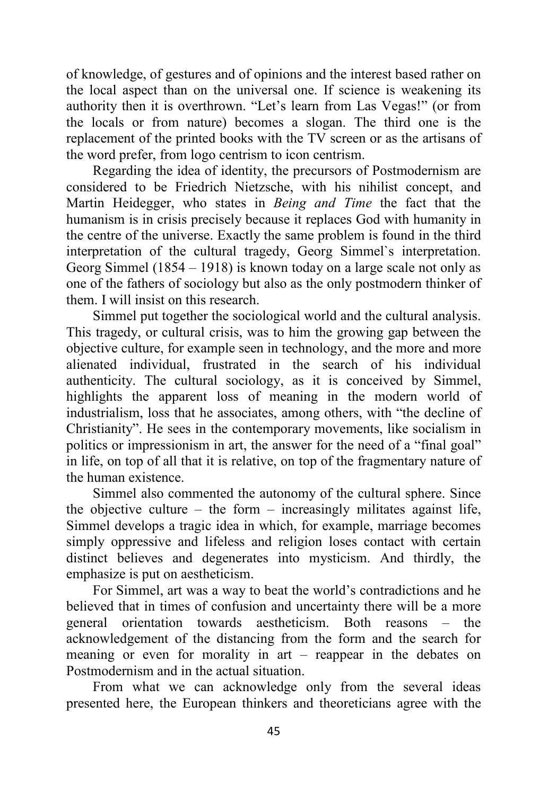of knowledge, of gestures and of opinions and the interest based rather on the local aspect than on the universal one. If science is weakening its authority then it is overthrown. "Let's learn from Las Vegas!" (or from the locals or from nature) becomes a slogan. The third one is the replacement of the printed books with the TV screen or as the artisans of the word prefer, from logo centrism to icon centrism.

Regarding the idea of identity, the precursors of Postmodernism are considered to be Friedrich Nietzsche, with his nihilist concept, and Martin Heidegger, who states in *Being and Time* the fact that the humanism is in crisis precisely because it replaces God with humanity in the centre of the universe. Exactly the same problem is found in the third interpretation of the cultural tragedy, Georg Simmel`s interpretation. Georg Simmel (1854 – 1918) is known today on a large scale not only as one of the fathers of sociology but also as the only postmodern thinker of them. I will insist on this research.

Simmel put together the sociological world and the cultural analysis. This tragedy, or cultural crisis, was to him the growing gap between the objective culture, for example seen in technology, and the more and more alienated individual, frustrated in the search of his individual authenticity. The cultural sociology, as it is conceived by Simmel, highlights the apparent loss of meaning in the modern world of industrialism, loss that he associates, among others, with "the decline of Christianity". He sees in the contemporary movements, like socialism in politics or impressionism in art, the answer for the need of a "final goal" in life, on top of all that it is relative, on top of the fragmentary nature of the human existence.

Simmel also commented the autonomy of the cultural sphere. Since the objective culture – the form – increasingly militates against life, Simmel develops a tragic idea in which, for example, marriage becomes simply oppressive and lifeless and religion loses contact with certain distinct believes and degenerates into mysticism. And thirdly, the emphasize is put on aestheticism.

For Simmel, art was a way to beat the world's contradictions and he believed that in times of confusion and uncertainty there will be a more general orientation towards aestheticism. Both reasons – the acknowledgement of the distancing from the form and the search for meaning or even for morality in art – reappear in the debates on Postmodernism and in the actual situation.

From what we can acknowledge only from the several ideas presented here, the European thinkers and theoreticians agree with the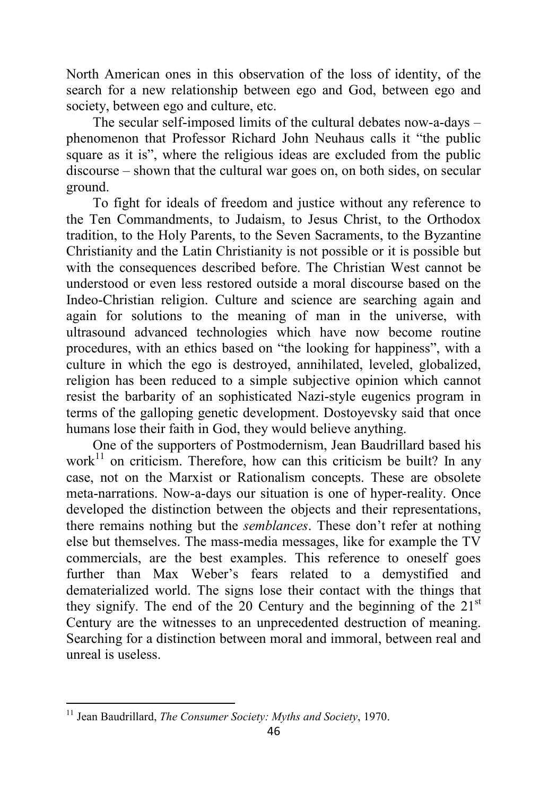North American ones in this observation of the loss of identity, of the search for a new relationship between ego and God, between ego and society, between ego and culture, etc.

The secular self-imposed limits of the cultural debates now-a-days – phenomenon that Professor Richard John Neuhaus calls it "the public square as it is", where the religious ideas are excluded from the public discourse – shown that the cultural war goes on, on both sides, on secular ground.

To fight for ideals of freedom and justice without any reference to the Ten Commandments, to Judaism, to Jesus Christ, to the Orthodox tradition, to the Holy Parents, to the Seven Sacraments, to the Byzantine Christianity and the Latin Christianity is not possible or it is possible but with the consequences described before. The Christian West cannot be understood or even less restored outside a moral discourse based on the Indeo-Christian religion. Culture and science are searching again and again for solutions to the meaning of man in the universe, with ultrasound advanced technologies which have now become routine procedures, with an ethics based on "the looking for happiness", with a culture in which the ego is destroyed, annihilated, leveled, globalized, religion has been reduced to a simple subjective opinion which cannot resist the barbarity of an sophisticated Nazi-style eugenics program in terms of the galloping genetic development. Dostoyevsky said that once humans lose their faith in God, they would believe anything.

One of the supporters of Postmodernism, Jean Baudrillard based his work $^{11}$  on criticism. Therefore, how can this criticism be built? In any case, not on the Marxist or Rationalism concepts. These are obsolete meta-narrations. Now-a-days our situation is one of hyper-reality. Once developed the distinction between the objects and their representations, there remains nothing but the *semblances*. These don't refer at nothing else but themselves. The mass-media messages, like for example the TV commercials, are the best examples. This reference to oneself goes further than Max Weber's fears related to a demystified and dematerialized world. The signs lose their contact with the things that they signify. The end of the 20 Century and the beginning of the  $21<sup>st</sup>$ Century are the witnesses to an unprecedented destruction of meaning. Searching for a distinction between moral and immoral, between real and unreal is useless.

l

<sup>11</sup> Jean Baudrillard, *The Consumer Society: Myths and Society*, 1970.